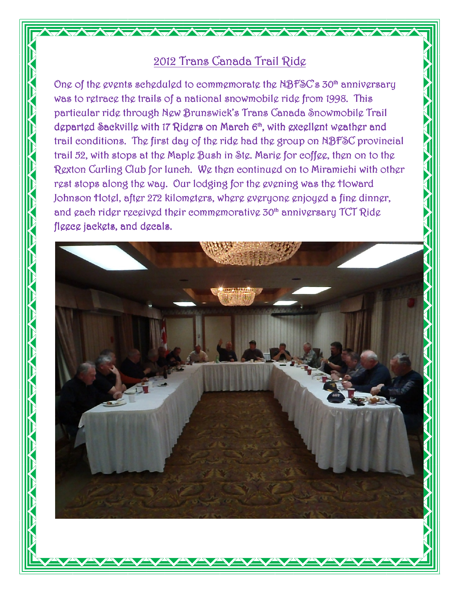## 2012 Trans Canada Trail Ride

One of the events scheduled to commemorate the  $NBFSC$ 's 30<sup>th</sup> anniversary was to retrace the trails of a national snowmobile ride from 1998. This particular ride through New Brunswick's Trans Canada Snowmobile Trail departed Sackville with 17 Riders on March 6<sup>th</sup>, with excellent weather and trail conditions. The first day of the ride had the group on NBFSC provincial trail 52, with stops at the Maple Bush in Ste. Marie for coffee, then on to the Rexton Curling Club for lunch. We then continued on to Miramichi with other rest stops along the way. Our lodging for the evening was the Howard Johnson Hotel, after 272 kilometers, where everyone enjoyed a fine dinner, and gach ridgr rgcgivgd thgir commgmorativg 30<sup>th</sup> annivgrsary TCT Ridg fleece jackets, and decals.

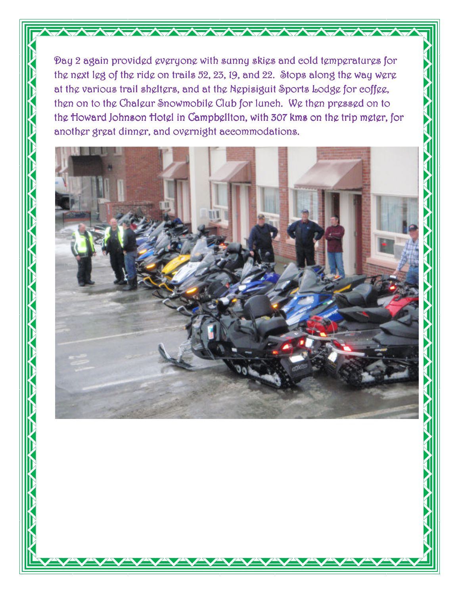Day 2 again provided everyone with sunny skies and cold temperatures for the next leg of the ride on trails 52, 23, 19, and 22. Stops along the way were at the various trail shelters, and at the Nepisiguit Sports Lodge for coffee, then on to the Chaleur Snowmobile Club for lunch. We then pressed on to the Howard Johnson Hotel in Campbellton, with 307 kms on the trip meter, for another great dinner, and overnight accommodations.

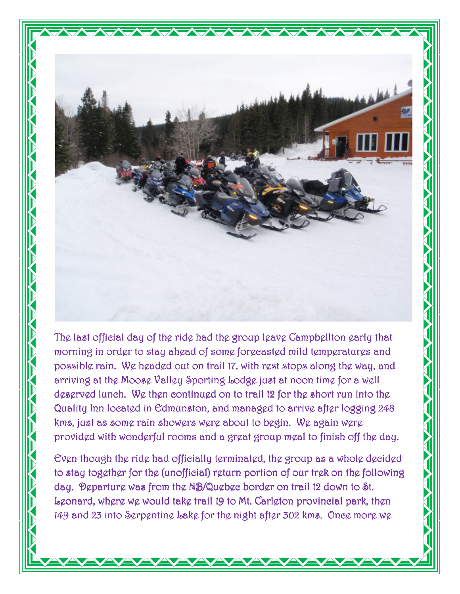

The last official day of the ride had the group leave Campbellton early that morning in order to stay ahead of some forecasted mild temperatures and possible rain. We headed out on trail 17, with rest stops along the way, and arriving at the Moose Valley Sporting Lodge just at noon time for a well deserved lunch. We then continued on to trail 12 for the short run into the Quality Inn located in Edmunston, and managed to arrive after logging 248 kms, just as some rain showers were about to begin. We again were provided with wonderful rooms and a great group meal to finish off the day.

Even though the ride had officially terminated, the group as a whole decided to stay together for the (unofficial) return portion of our trek on the following day. Departure was from the NB/Quebec border on trail 12 down to St. Leonard, where we would take trail 19 to Mt. Carleton provincial park, then 149 and 23 into Serpentine Lake for the night after 302 kms. Once more we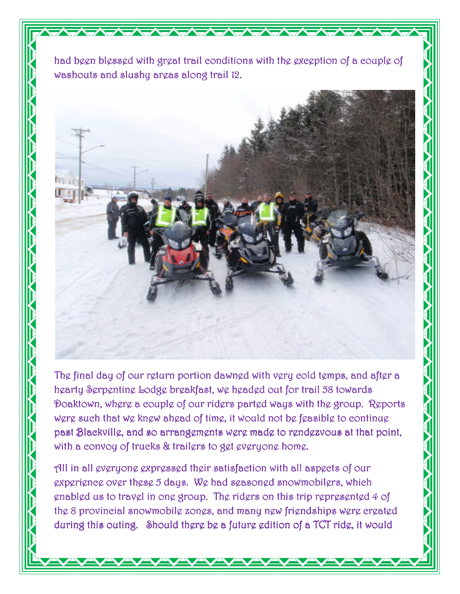had been blessed with great trail conditions with the exception of a couple of washouts and slushy areas along trail 12.



The final day of our return portion dawned with very cold temps, and after a hearty Serpentine Lodge breakfast, we headed out for trail 58 towards Doaktown, where a couple of our riders parted ways with the group. Reports were such that we knew ahead of time, it would not be feasible to continue past Blackville, and so arrangements were made to rendezvous at that point, with a convoy of trucks & trailers to get everyone home.

All in all everyone expressed their satisfaction with all aspects of our experience over these 5 days. We had seasoned snowmobilers, which enabled us to travel in one group. The riders on this trip represented 4 of the 8 provincial snowmobile zones, and many new friendships were created during this outing. Should there be a future edition of a TCT ride, it would